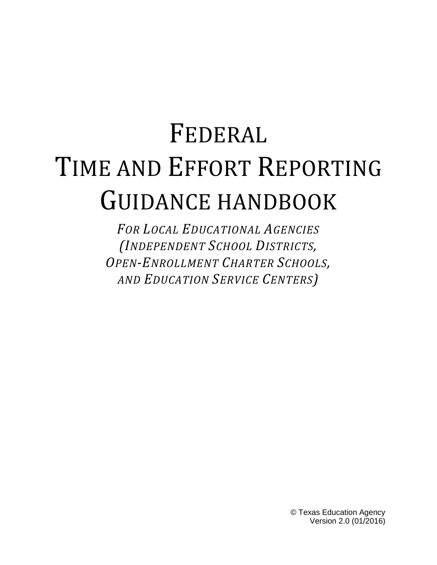# FEDERAL TIME AND EFFORT REPORTING GUIDANCE HANDBOOK

*FOR LOCAL EDUCATIONAL AGENCIES (INDEPENDENT SCHOOL DISTRICTS, OPEN-ENROLLMENT CHARTER SCHOOLS, AND EDUCATION SERVICE CENTERS)*

> © Texas Education Agency Version 2.0 (01/2016)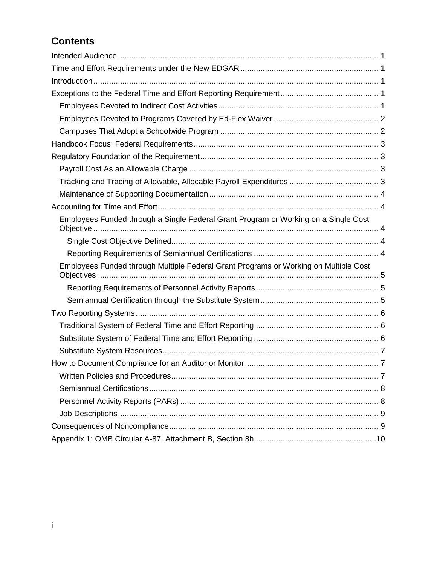# **Contents**

| Employees Funded through a Single Federal Grant Program or Working on a Single Cost  |
|--------------------------------------------------------------------------------------|
|                                                                                      |
|                                                                                      |
| Employees Funded through Multiple Federal Grant Programs or Working on Multiple Cost |
|                                                                                      |
|                                                                                      |
|                                                                                      |
|                                                                                      |
|                                                                                      |
|                                                                                      |
|                                                                                      |
|                                                                                      |
|                                                                                      |
|                                                                                      |
|                                                                                      |
|                                                                                      |
|                                                                                      |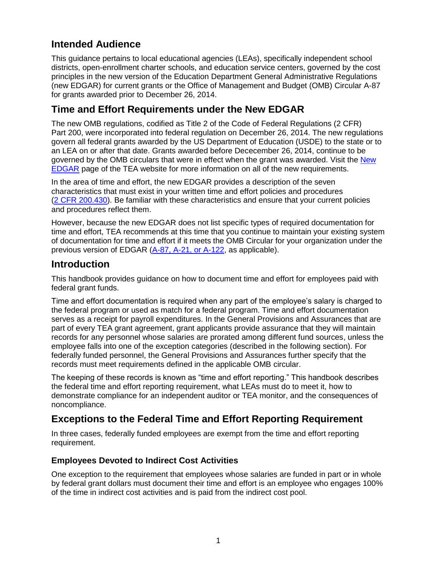# <span id="page-2-0"></span>**Intended Audience**

This guidance pertains to local educational agencies (LEAs), specifically independent school districts, open-enrollment charter schools, and education service centers, governed by the cost principles in the new version of the Education Department General Administrative Regulations (new EDGAR) for current grants or the Office of Management and Budget (OMB) [Circular A-87](https://www.whitehouse.gov/omb/circulars_default/) for grants awarded prior to December 26, 2014.

# <span id="page-2-1"></span>**Time and Effort Requirements under the New EDGAR**

The new OMB regulations, codified as [Title 2 of the Code of Federal Regulations \(2 CFR\)](http://www.ecfr.gov/cgi-bin/text-idx?SID=daf9f454d79344ef884779e46a9acd2f&node=pt2.1.200&rgn=div5#_top)  Part [200,](http://www.ecfr.gov/cgi-bin/text-idx?SID=daf9f454d79344ef884779e46a9acd2f&node=pt2.1.200&rgn=div5#_top) were incorporated into federal regulation on December 26, 2014. The new regulations govern all federal grants awarded by the US Department of Education (USDE) to the state or to an LEA on or after that date. Grants awarded before Dececember 26, 2014, continue to be governed by the OMB circulars that were in effect when the grant was awarded. Visit the [New](http://tea.texas.gov/WorkArea/linkit.aspx?ItemID=25769819229http://tea.texas.gov/Finance_and_Grants/Grants/Administering_a_Grant/The_New_EDGAR/)  [EDGAR](http://tea.texas.gov/WorkArea/linkit.aspx?ItemID=25769819229http://tea.texas.gov/Finance_and_Grants/Grants/Administering_a_Grant/The_New_EDGAR/) page of the TEA website for more information on all of the new requirements.

In the area of time and effort, the new EDGAR provides a description of the seven characteristics that must exist in your written time and effort policies and procedures (2 CFR [200.430\)](http://www.ecfr.gov/cgi-bin/text-idx?SID=daf9f454d79344ef884779e46a9acd2f&node=pt2.1.200&rgn=div5#se2.1.200_1430). Be familiar with these characteristics and ensure that your current policies and procedures reflect them.

However, because the new EDGAR does not list specific types of required documentation for time and effort, TEA recommends at this time that you continue to maintain your existing system of documentation for time and effort if it meets the OMB Circular for your organization under the previous version of EDGAR [\(A-87, A-21, or A-122,](https://www.whitehouse.gov/omb/circulars_default/) as applicable).

## <span id="page-2-2"></span>**Introduction**

This handbook provides guidance on how to document time and effort for employees paid with federal grant funds.

Time and effort documentation is required when any part of the employee's salary is charged to the federal program or used as match for a federal program. Time and effort documentation serves as a receipt for payroll expenditures. In the General Provisions and Assurances that are part of every TEA grant agreement, grant applicants provide assurance that they will maintain records for any personnel whose salaries are prorated among different fund sources, unless the employee falls into one of the exception categories (described in the following section). For federally funded personnel, the General Provisions and Assurances further specify that the records must meet requirements defined in the applicable OMB circular.

The keeping of these records is known as "time and effort reporting." This handbook describes the federal time and effort reporting requirement, what LEAs must do to meet it, how to demonstrate compliance for an independent auditor or TEA monitor, and the consequences of noncompliance.

# <span id="page-2-3"></span>**Exceptions to the Federal Time and Effort Reporting Requirement**

In three cases, federally funded employees are exempt from the time and effort reporting requirement.

## <span id="page-2-4"></span>**Employees Devoted to Indirect Cost Activities**

One exception to the requirement that employees whose salaries are funded in part or in whole by federal grant dollars must document their time and effort is an employee who engages 100% of the time in indirect cost activities and is paid from the indirect cost pool.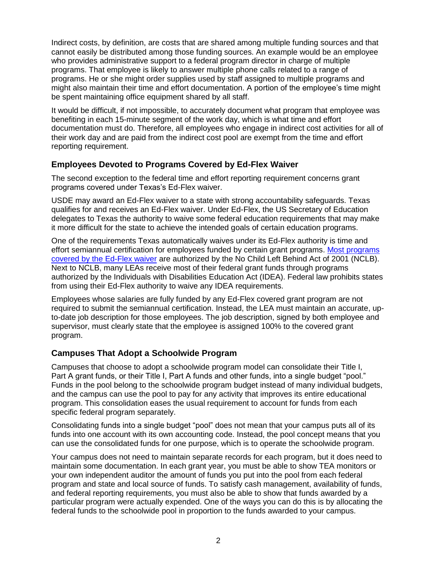Indirect costs, by definition, are costs that are shared among multiple funding sources and that cannot easily be distributed among those funding sources. An example would be an employee who provides administrative support to a federal program director in charge of multiple programs. That employee is likely to answer multiple phone calls related to a range of programs. He or she might order supplies used by staff assigned to multiple programs and might also maintain their time and effort documentation. A portion of the employee's time might be spent maintaining office equipment shared by all staff.

It would be difficult, if not impossible, to accurately document what program that employee was benefiting in each 15-minute segment of the work day, which is what time and effort documentation must do. Therefore, all employees who engage in indirect cost activities for all of their work day and are paid from the indirect cost pool are exempt from the time and effort reporting requirement.

#### <span id="page-3-0"></span>**Employees Devoted to Programs Covered by Ed-Flex Waiver**

The second exception to the federal time and effort reporting requirement concerns grant programs covered under Texas's Ed-Flex waiver.

USDE may award an Ed-Flex waiver to a state with strong accountability safeguards. Texas qualifies for and receives an Ed-Flex waiver. Under Ed-Flex, the US Secretary of Education delegates to Texas the authority to waive some federal education requirements that may make it more difficult for the state to achieve the intended goals of certain education programs.

One of the requirements Texas automatically waives under its Ed-Flex authority is time and effort semiannual certification for employees funded by certain grant programs. [Most programs](http://www2.ed.gov/programs/edflex/applicant.html#programs)  [covered by the Ed-Flex waiver](http://www2.ed.gov/programs/edflex/applicant.html#programs) are authorized by the No Child Left Behind Act of 2001 (NCLB). Next to NCLB, many LEAs receive most of their federal grant funds through programs authorized by the Individuals with Disabilities Education Act (IDEA). Federal law prohibits states from using their Ed-Flex authority to waive any IDEA requirements.

Employees whose salaries are fully funded by any Ed-Flex covered grant program are not required to submit the semiannual certification. Instead, the LEA must maintain an accurate, upto-date job description for those employees. The job description, signed by both employee and supervisor, must clearly state that the employee is assigned 100% to the covered grant program.

## <span id="page-3-1"></span>**Campuses That Adopt a Schoolwide Program**

Campuses that choose to adopt a schoolwide program model can consolidate their Title I, Part A grant funds, or their Title I, Part A funds and other funds, into a single budget "pool." Funds in the pool belong to the schoolwide program budget instead of many individual budgets, and the campus can use the pool to pay for any activity that improves its entire educational program. This consolidation eases the usual requirement to account for funds from each specific federal program separately.

Consolidating funds into a single budget "pool" does not mean that your campus puts all of its funds into one account with its own accounting code. Instead, the pool concept means that you can use the consolidated funds for one purpose, which is to operate the schoolwide program.

Your campus does not need to maintain separate records for each program, but it does need to maintain some documentation. In each grant year, you must be able to show TEA monitors or your own independent auditor the amount of funds you put into the pool from each federal program and state and local source of funds. To satisfy cash management, availability of funds, and federal reporting requirements, you must also be able to show that funds awarded by a particular program were actually expended. One of the ways you can do this is by allocating the federal funds to the schoolwide pool in proportion to the funds awarded to your campus.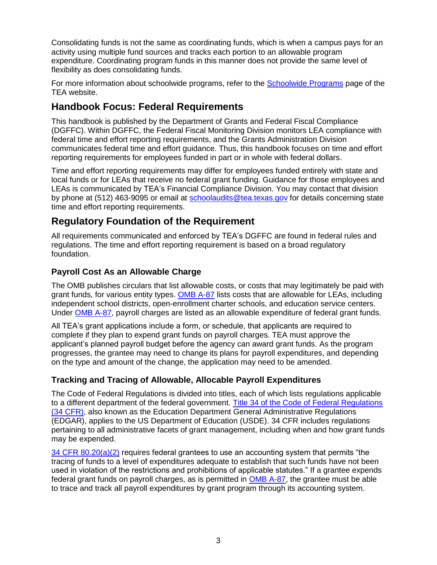Consolidating funds is not the same as coordinating funds, which is when a campus pays for an activity using multiple fund sources and tracks each portion to an allowable program expenditure. Coordinating program funds in this manner does not provide the same level of flexibility as does consolidating funds.

For more information about schoolwide programs, refer to the [Schoolwide Programs](http://www.tea.state.tx.us/grants/schoolwideprograms/) page of the TEA website.

# <span id="page-4-0"></span>**Handbook Focus: Federal Requirements**

This handbook is published by the Department of Grants and Federal Fiscal Compliance (DGFFC). Within DGFFC, the Federal Fiscal Monitoring Division monitors LEA compliance with federal time and effort reporting requirements, and the Grants Administration Division communicates federal time and effort guidance. Thus, this handbook focuses on time and effort reporting requirements for employees funded in part or in whole with federal dollars.

Time and effort reporting requirements may differ for employees funded entirely with state and local funds or for LEAs that receive no federal grant funding. Guidance for those employees and LEAs is communicated by TEA's Financial Compliance Division. You may contact that division by phone at (512) 463-9095 or email at [schoolaudits@tea.texas.gov](mailto:schoolaudits@tea.texas.gov) for details concerning state time and effort reporting requirements.

# <span id="page-4-1"></span>**Regulatory Foundation of the Requirement**

All requirements communicated and enforced by TEA's DGFFC are found in federal rules and regulations. The time and effort reporting requirement is based on a broad regulatory foundation.

## <span id="page-4-2"></span>**Payroll Cost As an Allowable Charge**

The OMB publishes circulars that list allowable costs, or costs that may legitimately be paid with grant funds, for various entity types. [OMB A-87](http://www.whitehouse.gov/omb/circulars_a087_2004) lists costs that are allowable for LEAs, including independent school districts, open-enrollment charter schools, and education service centers. Under [OMB A-87,](http://www.whitehouse.gov/omb/circulars_a087_2004) payroll charges are listed as an allowable expenditure of federal grant funds.

All TEA's grant applications include a form, or schedule, that applicants are required to complete if they plan to expend grant funds on payroll charges. TEA must approve the applicant's planned payroll budget before the agency can award grant funds. As the program progresses, the grantee may need to change its plans for payroll expenditures, and depending on the type and amount of the change, the application may need to be amended.

## <span id="page-4-3"></span>**Tracking and Tracing of Allowable, Allocable Payroll Expenditures**

The Code of Federal Regulations is divided into titles, each of which lists regulations applicable to a different department of the federal government. [Title 34 of the Code of Federal Regulations](http://www2.ed.gov/policy/fund/reg/edgarReg/edgar.html)  [\(34 CFR\),](http://www2.ed.gov/policy/fund/reg/edgarReg/edgar.html) also known as the Education Department General Administrative Regulations (EDGAR), applies to the US Department of Education (USDE). 34 CFR includes regulations pertaining to all administrative facets of grant management, including when and how grant funds may be expended.

[34 CFR 80.20\(a\)\(2\)](http://www.ecfr.gov/cgi-bin/text-idx?c=ecfr&sid=22effb892fd5967d361c853a8d9f1c41&rgn=div5&view=text&node=34:1.1.1.1.26&idno=34#34:1.1.1.1.26.3.129.1) requires federal grantees to use an accounting system that permits "the tracing of funds to a level of expenditures adequate to establish that such funds have not been used in violation of the restrictions and prohibitions of applicable statutes." If a grantee expends federal grant funds on payroll charges, as is permitted in [OMB A-87,](http://www.whitehouse.gov/omb/circulars_a087_2004) the grantee must be able to trace and track all payroll expenditures by grant program through its accounting system.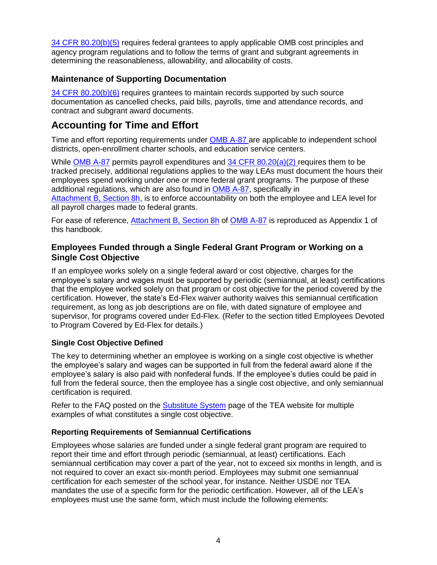[34 CFR 80.20\(b\)\(5\)](http://www.ecfr.gov/cgi-bin/text-idx?c=ecfr&sid=22effb892fd5967d361c853a8d9f1c41&rgn=div5&view=text&node=34:1.1.1.1.26&idno=34#34:1.1.1.1.26.3.129.1) requires federal grantees to apply applicable OMB cost principles and agency program regulations and to follow the terms of grant and subgrant agreements in determining the reasonableness, allowability, and allocability of costs.

#### <span id="page-5-0"></span>**Maintenance of Supporting Documentation**

 $34$  CFR 80.20(b)(6) requires grantees to maintain records supported by such source documentation as cancelled checks, paid bills, payrolls, time and attendance records, and contract and subgrant award documents.

## <span id="page-5-1"></span>**Accounting for Time and Effort**

Time and effort reporting requirements under [OMB A-87](http://www.whitehouse.gov/omb/circulars_a087_2004) are applicable to independent school districts, open-enrollment charter schools, and education service centers.

While [OMB A-87](http://www.whitehouse.gov/omb/circulars_a087_2004) permits payroll expenditures and [34 CFR 80.20\(a\)\(2\)](http://www.ecfr.gov/cgi-bin/text-idx?c=ecfr&sid=22effb892fd5967d361c853a8d9f1c41&rgn=div5&view=text&node=34:1.1.1.1.26&idno=34#34:1.1.1.1.26.3.129.1) requires them to be tracked precisely, additional regulations applies to the way LEAs must document the hours their employees spend working under one or more federal grant programs. The purpose of these additional regulations, which are also found in [OMB A-87,](http://www.whitehouse.gov/omb/circulars_a087_2004) specifically in

[Attachment](http://www.whitehouse.gov/omb/circulars_a087_2004#8) B, Section 8h, is to enforce accountability on both the employee and LEA level for all payroll charges made to federal grants.

For ease of reference, [Attachment B, Section 8h](http://www.whitehouse.gov/omb/circulars_a087_2004#8) of [OMB A-87](http://www.whitehouse.gov/omb/circulars_a087_2004) is reproduced as Appendix 1 of this handbook.

#### <span id="page-5-2"></span>**Employees Funded through a Single Federal Grant Program or Working on a Single Cost Objective**

If an employee works solely on a single federal award or cost objective, charges for the employee's salary and wages must be supported by periodic (semiannual, at least) certifications that the employee worked solely on that program or cost objective for the period covered by the certification. However, the state's Ed-Flex waiver authority waives this semiannual certification requirement, as long as job descriptions are on file, with dated signature of employee and supervisor, for programs covered under Ed-Flex. (Refer to the section titled Employees Devoted to Program Covered by Ed-Flex for details.)

#### <span id="page-5-3"></span>**Single Cost Objective Defined**

The key to determining whether an employee is working on a single cost objective is whether the employee's salary and wages can be supported in full from the federal award alone if the employee's salary is also paid with nonfederal funds. If the employee's duties could be paid in full from the federal source, then the employee has a single cost objective, and only semiannual certification is required.

Refer to the FAQ posted on the [Substitute System](http://www.tea.state.tx.us/index2.aspx?id=2147510385) page of the TEA website for multiple examples of what constitutes a single cost objective.

#### <span id="page-5-4"></span>**Reporting Requirements of Semiannual Certifications**

Employees whose salaries are funded under a single federal grant program are required to report their time and effort through periodic (semiannual, at least) certifications. Each semiannual certification may cover a part of the year, not to exceed six months in length, and is not required to cover an exact six-month period. Employees may submit one semiannual certification for each semester of the school year, for instance. Neither USDE nor TEA mandates the use of a specific form for the periodic certification. However, all of the LEA's employees must use the same form, which must include the following elements: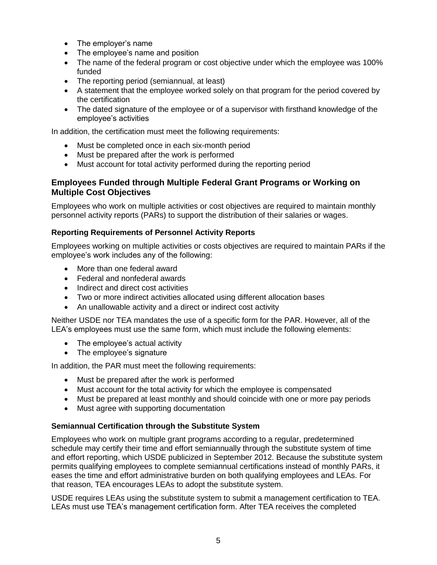- The employer's name
- The employee's name and position
- The name of the federal program or cost objective under which the employee was 100% funded
- The reporting period (semiannual, at least)
- A statement that the employee worked solely on that program for the period covered by the certification
- The dated signature of the employee or of a supervisor with firsthand knowledge of the employee's activities

In addition, the certification must meet the following requirements:

- Must be completed once in each six-month period
- Must be prepared after the work is performed
- Must account for total activity performed during the reporting period

#### <span id="page-6-0"></span>**Employees Funded through Multiple Federal Grant Programs or Working on Multiple Cost Objectives**

Employees who work on multiple activities or cost objectives are required to maintain monthly personnel activity reports (PARs) to support the distribution of their salaries or wages.

#### <span id="page-6-1"></span>**Reporting Requirements of Personnel Activity Reports**

Employees working on multiple activities or costs objectives are required to maintain PARs if the employee's work includes any of the following:

- More than one federal award
- Federal and nonfederal awards
- Indirect and direct cost activities
- Two or more indirect activities allocated using different allocation bases
- An unallowable activity and a direct or indirect cost activity

Neither USDE nor TEA mandates the use of a specific form for the PAR. However, all of the LEA's employees must use the same form, which must include the following elements:

- The employee's actual activity
- The employee's signature

In addition, the PAR must meet the following requirements:

- Must be prepared after the work is performed
- Must account for the total activity for which the employee is compensated
- Must be prepared at least monthly and should coincide with one or more pay periods
- Must agree with supporting documentation

#### <span id="page-6-2"></span>**Semiannual Certification through the Substitute System**

Employees who work on multiple grant programs according to a regular, predetermined schedule may certify their time and effort semiannually through the substitute system of time and effort reporting, which USDE publicized in September 2012. Because the substitute system permits qualifying employees to complete semiannual certifications instead of monthly PARs, it eases the time and effort administrative burden on both qualifying employees and LEAs. For that reason, TEA encourages LEAs to adopt the substitute system.

USDE requires LEAs using the substitute system to submit a management certification to TEA. LEAs must use TEA's management certification form. After TEA receives the completed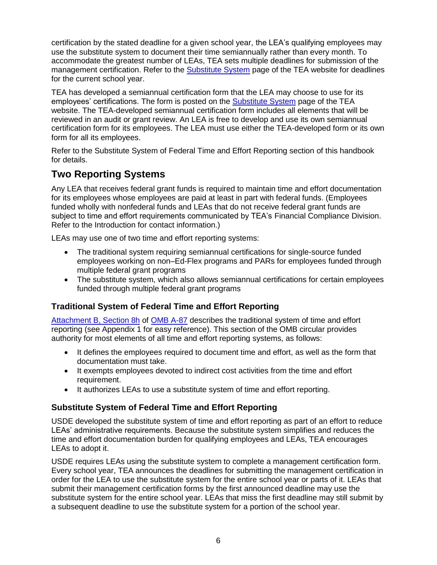certification by the stated deadline for a given school year, the LEA's qualifying employees may use the substitute system to document their time semiannually rather than every month. To accommodate the greatest number of LEAs, TEA sets multiple deadlines for submission of the management certification. Refer to the [Substitute System](http://www.tea.state.tx.us/index2.aspx?id=2147510385) page of the TEA website for deadlines for the current school year.

TEA has developed a semiannual certification form that the LEA may choose to use for its employees' certifications. The form is posted on the [Substitute System](http://www.tea.state.tx.us/index2.aspx?id=2147510385) page of the TEA website. The TEA-developed semiannual certification form includes all elements that will be reviewed in an audit or grant review. An LEA is free to develop and use its own semiannual certification form for its employees. The LEA must use either the TEA-developed form or its own form for all its employees.

Refer to the Substitute System of Federal Time and Effort Reporting section of this handbook for details.

# <span id="page-7-0"></span>**Two Reporting Systems**

Any LEA that receives federal grant funds is required to maintain time and effort documentation for its employees whose employees are paid at least in part with federal funds. (Employees funded wholly with nonfederal funds and LEAs that do not receive federal grant funds are subject to time and effort requirements communicated by TEA's Financial Compliance Division. Refer to the Introduction for contact information.)

LEAs may use one of two time and effort reporting systems:

- The traditional system requiring semiannual certifications for single-source funded employees working on non–Ed-Flex programs and PARs for employees funded through multiple federal grant programs
- The substitute system, which also allows semiannual certifications for certain employees funded through multiple federal grant programs

## <span id="page-7-1"></span>**Traditional System of Federal Time and Effort Reporting**

[Attachment B, Section 8h](http://www.whitehouse.gov/omb/circulars_a087_2004#8) of [OMB A-87](http://www.whitehouse.gov/omb/circulars_a087_2004) describes the traditional system of time and effort reporting (see Appendix 1 for easy reference). This section of the OMB circular provides authority for most elements of all time and effort reporting systems, as follows:

- It defines the employees required to document time and effort, as well as the form that documentation must take.
- It exempts employees devoted to indirect cost activities from the time and effort requirement.
- It authorizes LEAs to use a substitute system of time and effort reporting.

## <span id="page-7-2"></span>**Substitute System of Federal Time and Effort Reporting**

USDE developed the substitute system of time and effort reporting as part of an effort to reduce LEAs' administrative requirements. Because the substitute system simplifies and reduces the time and effort documentation burden for qualifying employees and LEAs, TEA encourages LEAs to adopt it.

USDE requires LEAs using the substitute system to complete a management certification form. Every school year, TEA announces the deadlines for submitting the management certification in order for the LEA to use the substitute system for the entire school year or parts of it. LEAs that submit their management certification forms by the first announced deadline may use the substitute system for the entire school year. LEAs that miss the first deadline may still submit by a subsequent deadline to use the substitute system for a portion of the school year.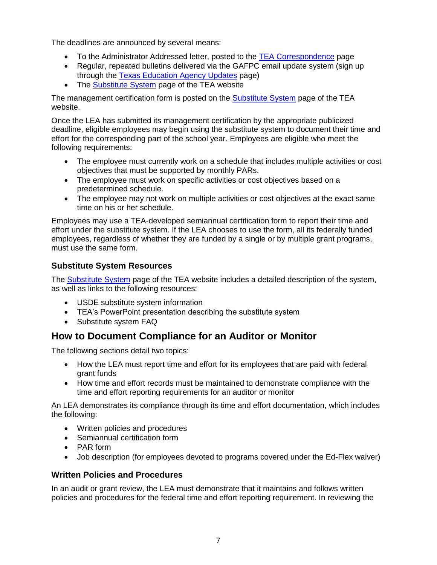The deadlines are announced by several means:

- To the Administrator Addressed letter, posted to the [TEA Correspondence](http://www.tea.state.tx.us/taa_letters.aspx) page
- Regular, repeated bulletins delivered via the GAFPC email update system (sign up through the [Texas Education Agency Updates](http://miller.tea.state.tx.us/list/) page)
- The [Substitute System](http://www.tea.state.tx.us/index2.aspx?id=2147510385) page of the TEA website

The management certification form is posted on the [Substitute System](http://www.tea.state.tx.us/index2.aspx?id=2147510385) page of the TEA website.

Once the LEA has submitted its management certification by the appropriate publicized deadline, eligible employees may begin using the substitute system to document their time and effort for the corresponding part of the school year. Employees are eligible who meet the following requirements:

- The employee must currently work on a schedule that includes multiple activities or cost objectives that must be supported by monthly PARs.
- The employee must work on specific activities or cost objectives based on a predetermined schedule.
- The employee may not work on multiple activities or cost objectives at the exact same time on his or her schedule.

Employees may use a TEA-developed semiannual certification form to report their time and effort under the substitute system. If the LEA chooses to use the form, all its federally funded employees, regardless of whether they are funded by a single or by multiple grant programs, must use the same form.

## <span id="page-8-0"></span>**Substitute System Resources**

The [Substitute System](http://www.tea.state.tx.us/index2.aspx?id=2147510385) page of the TEA website includes a detailed description of the system, as well as links to the following resources:

- USDE substitute system information
- TEA's PowerPoint presentation describing the substitute system
- Substitute system FAQ

# <span id="page-8-1"></span>**How to Document Compliance for an Auditor or Monitor**

The following sections detail two topics:

- How the LEA must report time and effort for its employees that are paid with federal grant funds
- How time and effort records must be maintained to demonstrate compliance with the time and effort reporting requirements for an auditor or monitor

An LEA demonstrates its compliance through its time and effort documentation, which includes the following:

- Written policies and procedures
- Semiannual certification form
- PAR form
- Job description (for employees devoted to programs covered under the Ed-Flex waiver)

## <span id="page-8-2"></span>**Written Policies and Procedures**

In an audit or grant review, the LEA must demonstrate that it maintains and follows written policies and procedures for the federal time and effort reporting requirement. In reviewing the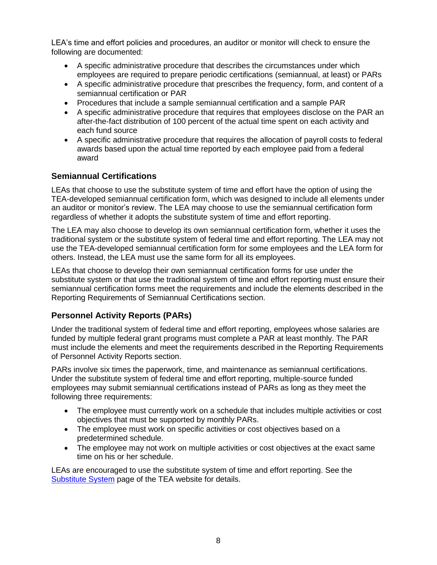LEA's time and effort policies and procedures, an auditor or monitor will check to ensure the following are documented:

- A specific administrative procedure that describes the circumstances under which employees are required to prepare periodic certifications (semiannual, at least) or PARs
- A specific administrative procedure that prescribes the frequency, form, and content of a semiannual certification or PAR
- Procedures that include a sample semiannual certification and a sample PAR
- A specific administrative procedure that requires that employees disclose on the PAR an after-the-fact distribution of 100 percent of the actual time spent on each activity and each fund source
- A specific administrative procedure that requires the allocation of payroll costs to federal awards based upon the actual time reported by each employee paid from a federal award

#### <span id="page-9-0"></span>**Semiannual Certifications**

LEAs that choose to use the substitute system of time and effort have the option of using the TEA-developed semiannual certification form, which was designed to include all elements under an auditor or monitor's review. The LEA may choose to use the semiannual certification form regardless of whether it adopts the substitute system of time and effort reporting.

The LEA may also choose to develop its own semiannual certification form, whether it uses the traditional system or the substitute system of federal time and effort reporting. The LEA may not use the TEA-developed semiannual certification form for some employees and the LEA form for others. Instead, the LEA must use the same form for all its employees.

LEAs that choose to develop their own semiannual certification forms for use under the substitute system or that use the traditional system of time and effort reporting must ensure their semiannual certification forms meet the requirements and include the elements described in the Reporting Requirements of Semiannual Certifications section.

#### <span id="page-9-1"></span>**Personnel Activity Reports (PARs)**

Under the traditional system of federal time and effort reporting, employees whose salaries are funded by multiple federal grant programs must complete a PAR at least monthly. The PAR must include the elements and meet the requirements described in the Reporting Requirements of Personnel Activity Reports section.

PARs involve six times the paperwork, time, and maintenance as semiannual certifications. Under the substitute system of federal time and effort reporting, multiple-source funded employees may submit semiannual certifications instead of PARs as long as they meet the following three requirements:

- The employee must currently work on a schedule that includes multiple activities or cost objectives that must be supported by monthly PARs.
- The employee must work on specific activities or cost objectives based on a predetermined schedule.
- The employee may not work on multiple activities or cost objectives at the exact same time on his or her schedule.

LEAs are encouraged to use the substitute system of time and effort reporting. See the [Substitute System](http://www.tea.state.tx.us/index2.aspx?id=2147510385) page of the TEA website for details.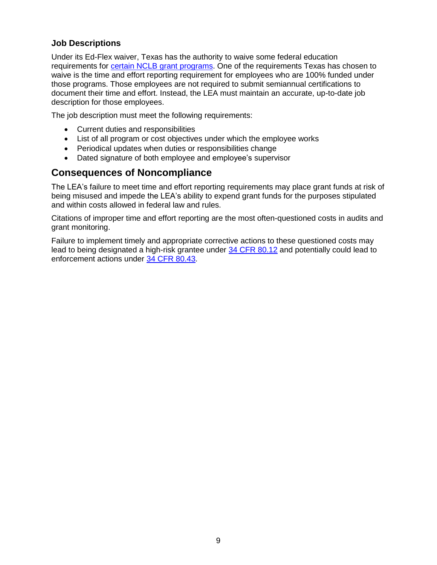#### <span id="page-10-0"></span>**Job Descriptions**

Under its Ed-Flex waiver, Texas has the authority to waive some federal education requirements for [certain NCLB grant programs.](http://www2.ed.gov/programs/edflex/applicant.html#programs) One of the requirements Texas has chosen to waive is the time and effort reporting requirement for employees who are 100% funded under those programs. Those employees are not required to submit semiannual certifications to document their time and effort. Instead, the LEA must maintain an accurate, up-to-date job description for those employees.

The job description must meet the following requirements:

- Current duties and responsibilities
- List of all program or cost objectives under which the employee works
- Periodical updates when duties or responsibilities change
- Dated signature of both employee and employee's supervisor

## <span id="page-10-1"></span>**Consequences of Noncompliance**

The LEA's failure to meet time and effort reporting requirements may place grant funds at risk of being misused and impede the LEA's ability to expend grant funds for the purposes stipulated and within costs allowed in federal law and rules.

Citations of improper time and effort reporting are the most often-questioned costs in audits and grant monitoring.

Failure to implement timely and appropriate corrective actions to these questioned costs may lead to being designated a high-risk grantee under [34 CFR 80.12](http://www.ecfr.gov/cgi-bin/text-idx?SID=393301a7cdccca1ea71f18aae51824e7&node=34:1.1.1.1.26&rgn=div5#se34.1.80_112) and potentially could lead to enforcement actions under [34 CFR 80.43.](http://www.ecfr.gov/cgi-bin/text-idx?SID=393301a7cdccca1ea71f18aae51824e7&node=34:1.1.1.1.26&rgn=div5#se34.1.80_143)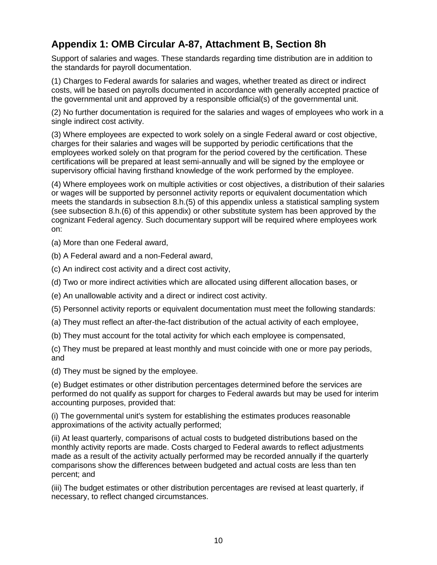# <span id="page-11-0"></span>**Appendix 1: OMB Circular A-87, Attachment B, Section 8h**

Support of salaries and wages. These standards regarding time distribution are in addition to the standards for payroll documentation.

(1) Charges to Federal awards for salaries and wages, whether treated as direct or indirect costs, will be based on payrolls documented in accordance with generally accepted practice of the governmental unit and approved by a responsible official(s) of the governmental unit.

(2) No further documentation is required for the salaries and wages of employees who work in a single indirect cost activity.

(3) Where employees are expected to work solely on a single Federal award or cost objective, charges for their salaries and wages will be supported by periodic certifications that the employees worked solely on that program for the period covered by the certification. These certifications will be prepared at least semi-annually and will be signed by the employee or supervisory official having firsthand knowledge of the work performed by the employee.

(4) Where employees work on multiple activities or cost objectives, a distribution of their salaries or wages will be supported by personnel activity reports or equivalent documentation which meets the standards in subsection 8.h.(5) of this appendix unless a statistical sampling system (see subsection 8.h.(6) of this appendix) or other substitute system has been approved by the cognizant Federal agency. Such documentary support will be required where employees work on:

(a) More than one Federal award,

- (b) A Federal award and a non-Federal award,
- (c) An indirect cost activity and a direct cost activity,
- (d) Two or more indirect activities which are allocated using different allocation bases, or
- (e) An unallowable activity and a direct or indirect cost activity.
- (5) Personnel activity reports or equivalent documentation must meet the following standards:
- (a) They must reflect an after-the-fact distribution of the actual activity of each employee,
- (b) They must account for the total activity for which each employee is compensated,

(c) They must be prepared at least monthly and must coincide with one or more pay periods, and

(d) They must be signed by the employee.

(e) Budget estimates or other distribution percentages determined before the services are performed do not qualify as support for charges to Federal awards but may be used for interim accounting purposes, provided that:

(i) The governmental unit's system for establishing the estimates produces reasonable approximations of the activity actually performed;

(ii) At least quarterly, comparisons of actual costs to budgeted distributions based on the monthly activity reports are made. Costs charged to Federal awards to reflect adjustments made as a result of the activity actually performed may be recorded annually if the quarterly comparisons show the differences between budgeted and actual costs are less than ten percent; and

(iii) The budget estimates or other distribution percentages are revised at least quarterly, if necessary, to reflect changed circumstances.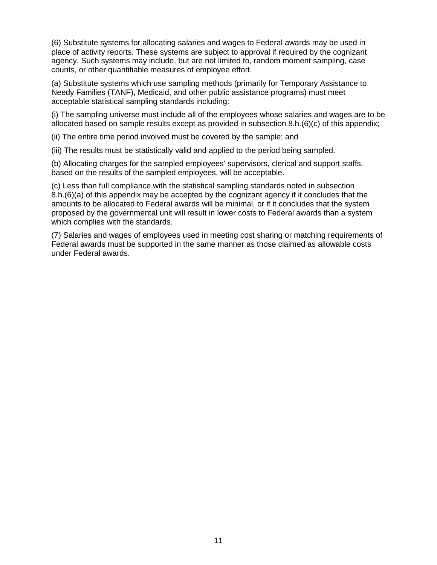(6) Substitute systems for allocating salaries and wages to Federal awards may be used in place of activity reports. These systems are subject to approval if required by the cognizant agency. Such systems may include, but are not limited to, random moment sampling, case counts, or other quantifiable measures of employee effort.

(a) Substitute systems which use sampling methods (primarily for Temporary Assistance to Needy Families (TANF), Medicaid, and other public assistance programs) must meet acceptable statistical sampling standards including:

(i) The sampling universe must include all of the employees whose salaries and wages are to be allocated based on sample results except as provided in subsection 8.h.(6)(c) of this appendix;

(ii) The entire time period involved must be covered by the sample; and

(iii) The results must be statistically valid and applied to the period being sampled.

(b) Allocating charges for the sampled employees' supervisors, clerical and support staffs, based on the results of the sampled employees, will be acceptable.

(c) Less than full compliance with the statistical sampling standards noted in subsection 8.h.(6)(a) of this appendix may be accepted by the cognizant agency if it concludes that the amounts to be allocated to Federal awards will be minimal, or if it concludes that the system proposed by the governmental unit will result in lower costs to Federal awards than a system which complies with the standards.

(7) Salaries and wages of employees used in meeting cost sharing or matching requirements of Federal awards must be supported in the same manner as those claimed as allowable costs under Federal awards.